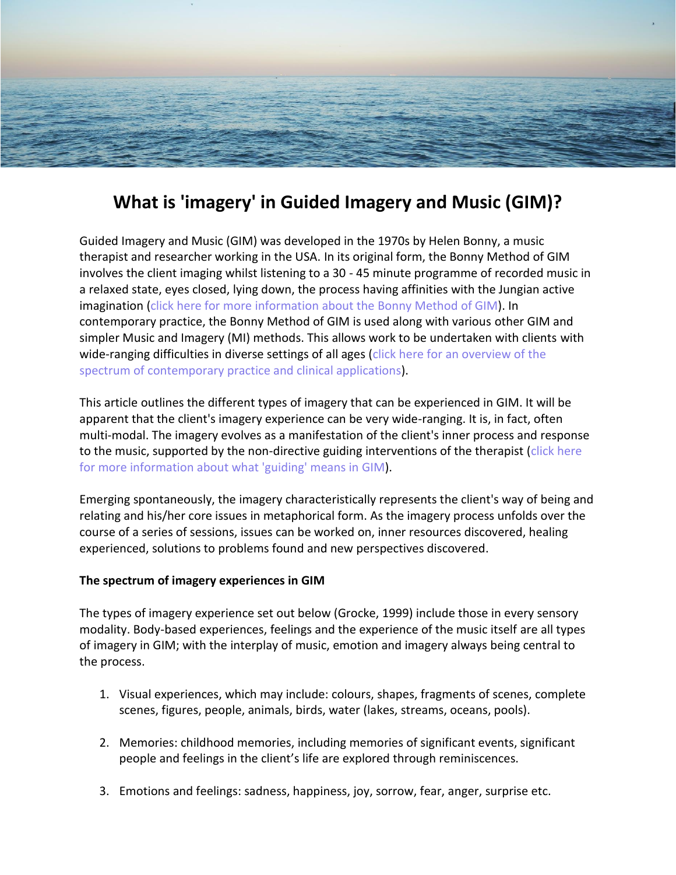

## **What is 'imagery' in Guided Imagery and Music (GIM)?**

Guided Imagery and Music (GIM) was developed in the 1970s by Helen Bonny, a music therapist and researcher working in the USA. In its original form, the Bonny Method of GIM involves the client imaging whilst listening to a 30 - 45 minute programme of recorded music in a relaxed state, eyes closed, lying down, the process having affinities with the Jungian active imagination (click here for more [information](https://www.linkedin.com/pulse/what-bonny-method-guided-imagery-music-gim-martin-lawes/) about the Bonny Method of GIM). In contemporary practice, the Bonny Method of GIM is used along with various other GIM and simpler Music and Imagery (MI) methods. This allows work to be undertaken with clients with wide-ranging difficulties in diverse settings of all ages (click here for an [overview](https://www.linkedin.com/pulse/guided-imagery-music-gim-spectrum-contemporary-practice-martin-lawes/) of the spectrum of [contemporary](https://www.linkedin.com/pulse/guided-imagery-music-gim-spectrum-contemporary-practice-martin-lawes/) practice and clinical applications).

This article outlines the different types of imagery that can be experienced in GIM. It will be apparent that the client's imagery experience can be very wide-ranging. It is, in fact, often multi-modal. The imagery evolves as a manifestation of the client's inner process and response to the music, supported by the non-directive guiding interventions of the therapist [\(click](https://www.linkedin.com/pulse/what-does-guiding-involve-bonny-method-guided-imagery-martin-lawes/) here for more [information](https://www.linkedin.com/pulse/what-does-guiding-involve-bonny-method-guided-imagery-martin-lawes/) about what 'guiding' means in GIM).

Emerging spontaneously, the imagery characteristically represents the client's way of being and relating and his/her core issues in metaphorical form. As the imagery process unfolds over the course of a series of sessions, issues can be worked on, inner resources discovered, healing experienced, solutions to problems found and new perspectives discovered.

## **The spectrum of imagery experiences in GIM**

The types of imagery experience set out below (Grocke, 1999) include those in every sensory modality. Body-based experiences, feelings and the experience of the music itself are all types of imagery in GIM; with the interplay of music, emotion and imagery always being central to the process.

- 1. Visual experiences, which may include: colours, shapes, fragments of scenes, complete scenes, figures, people, animals, birds, water (lakes, streams, oceans, pools).
- 2. Memories: childhood memories, including memories of significant events, significant people and feelings in the client's life are explored through reminiscences.
- 3. Emotions and feelings: sadness, happiness, joy, sorrow, fear, anger, surprise etc.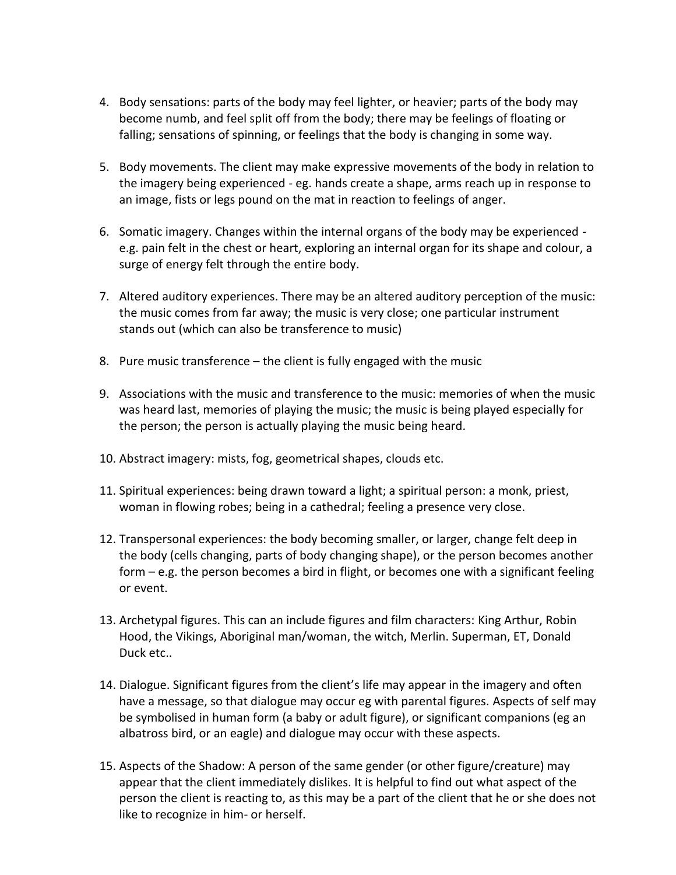- 4. Body sensations: parts of the body may feel lighter, or heavier; parts of the body may become numb, and feel split off from the body; there may be feelings of floating or falling; sensations of spinning, or feelings that the body is changing in some way.
- 5. Body movements. The client may make expressive movements of the body in relation to the imagery being experienced - eg. hands create a shape, arms reach up in response to an image, fists or legs pound on the mat in reaction to feelings of anger.
- 6. Somatic imagery. Changes within the internal organs of the body may be experienced e.g. pain felt in the chest or heart, exploring an internal organ for its shape and colour, a surge of energy felt through the entire body.
- 7. Altered auditory experiences. There may be an altered auditory perception of the music: the music comes from far away; the music is very close; one particular instrument stands out (which can also be transference to music)
- 8. Pure music transference the client is fully engaged with the music
- 9. Associations with the music and transference to the music: memories of when the music was heard last, memories of playing the music; the music is being played especially for the person; the person is actually playing the music being heard.
- 10. Abstract imagery: mists, fog, geometrical shapes, clouds etc.
- 11. Spiritual experiences: being drawn toward a light; a spiritual person: a monk, priest, woman in flowing robes; being in a cathedral; feeling a presence very close.
- 12. Transpersonal experiences: the body becoming smaller, or larger, change felt deep in the body (cells changing, parts of body changing shape), or the person becomes another form – e.g. the person becomes a bird in flight, or becomes one with a significant feeling or event.
- 13. Archetypal figures. This can an include figures and film characters: King Arthur, Robin Hood, the Vikings, Aboriginal man/woman, the witch, Merlin. Superman, ET, Donald Duck etc..
- 14. Dialogue. Significant figures from the client's life may appear in the imagery and often have a message, so that dialogue may occur eg with parental figures. Aspects of self may be symbolised in human form (a baby or adult figure), or significant companions (eg an albatross bird, or an eagle) and dialogue may occur with these aspects.
- 15. Aspects of the Shadow: A person of the same gender (or other figure/creature) may appear that the client immediately dislikes. It is helpful to find out what aspect of the person the client is reacting to, as this may be a part of the client that he or she does not like to recognize in him- or herself.